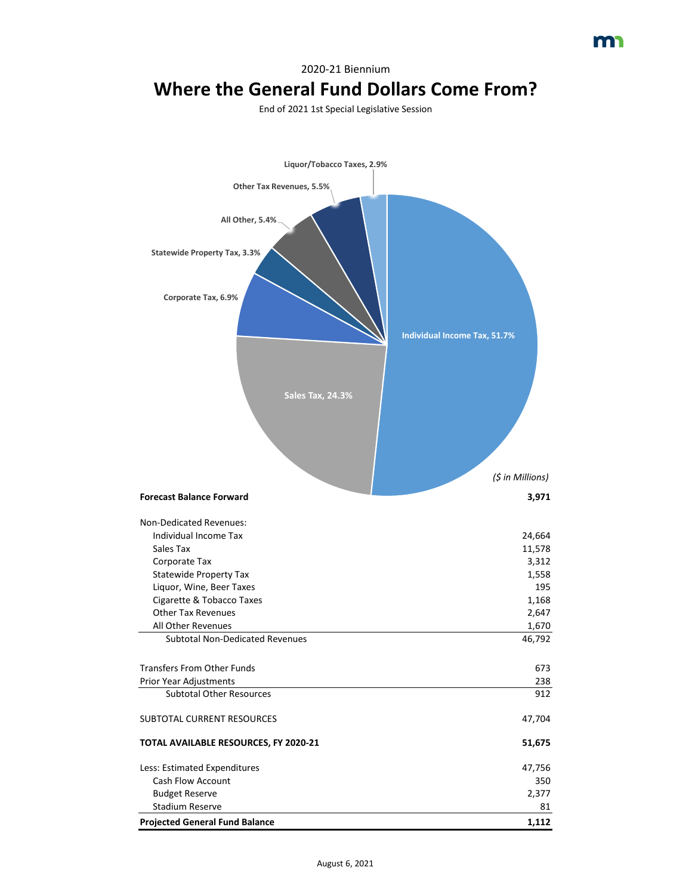2020-21 Biennium

# **Where the General Fund Dollars Come From?**

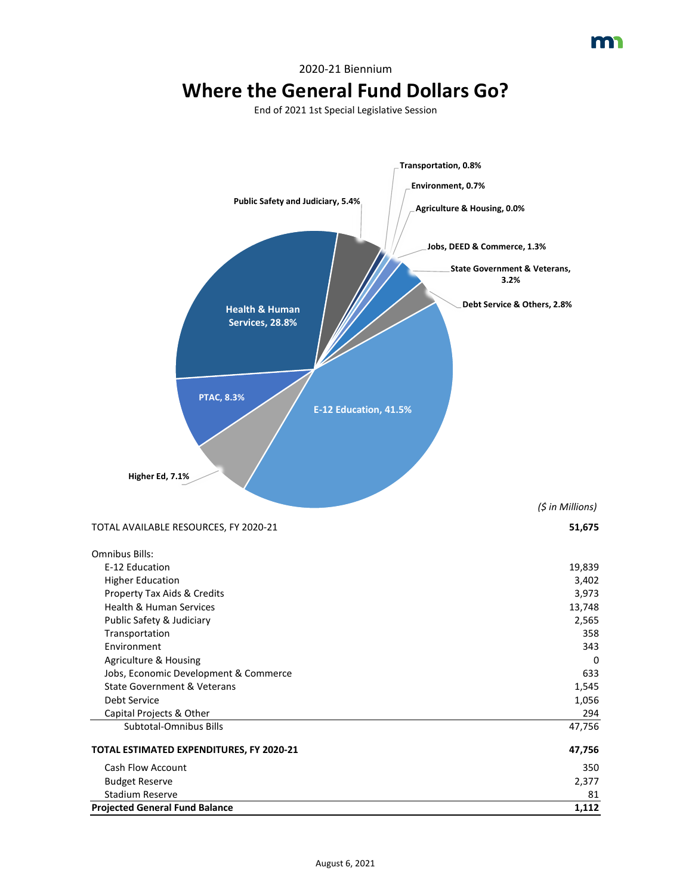

#### 2020-21 Biennium **Where the General Fund Dollars Go?**

**A** 

**Projected General Fund Balance 1,112**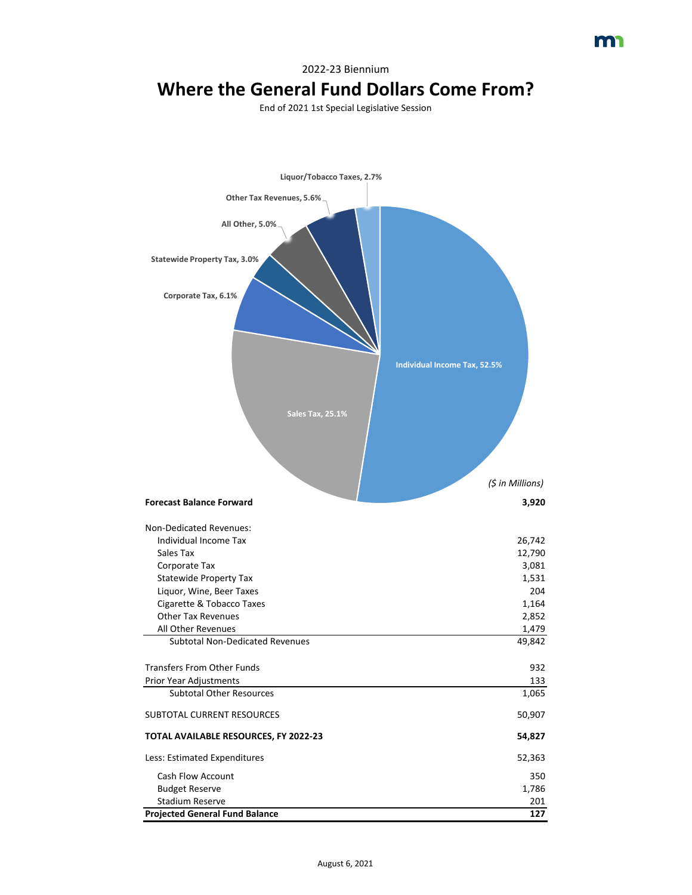2022-23 Biennium

# **Where the General Fund Dollars Come From?**

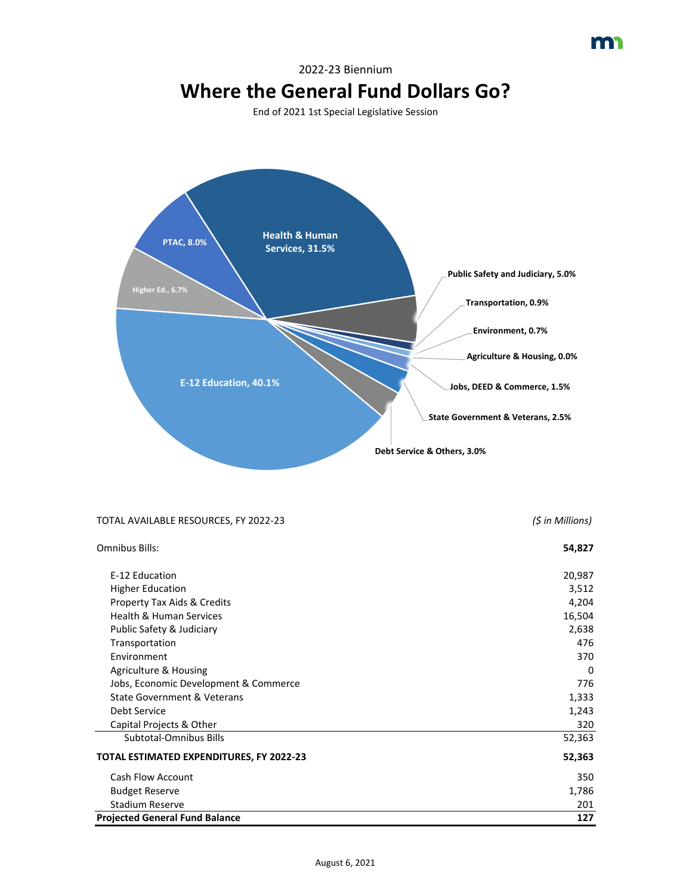## 2022-23 Biennium **Where the General Fund Dollars Go?**

m



| TOTAL AVAILABLE RESOURCES, FY 2022-23    | (\$ in Millions) |
|------------------------------------------|------------------|
| <b>Omnibus Bills:</b>                    | 54,827           |
| E-12 Education                           | 20,987           |
| <b>Higher Education</b>                  | 3,512            |
| Property Tax Aids & Credits              | 4,204            |
| <b>Health &amp; Human Services</b>       | 16,504           |
| Public Safety & Judiciary                | 2,638            |
| Transportation                           | 476              |
| Environment                              | 370              |
| <b>Agriculture &amp; Housing</b>         | $\Omega$         |
| Jobs, Economic Development & Commerce    | 776              |
| <b>State Government &amp; Veterans</b>   | 1,333            |
| Debt Service                             | 1,243            |
| Capital Projects & Other                 | 320              |
| Subtotal-Omnibus Bills                   | 52,363           |
| TOTAL ESTIMATED EXPENDITURES, FY 2022-23 | 52,363           |
| <b>Cash Flow Account</b>                 | 350              |
| <b>Budget Reserve</b>                    | 1,786            |
| <b>Stadium Reserve</b>                   | 201              |
| <b>Projected General Fund Balance</b>    | 127              |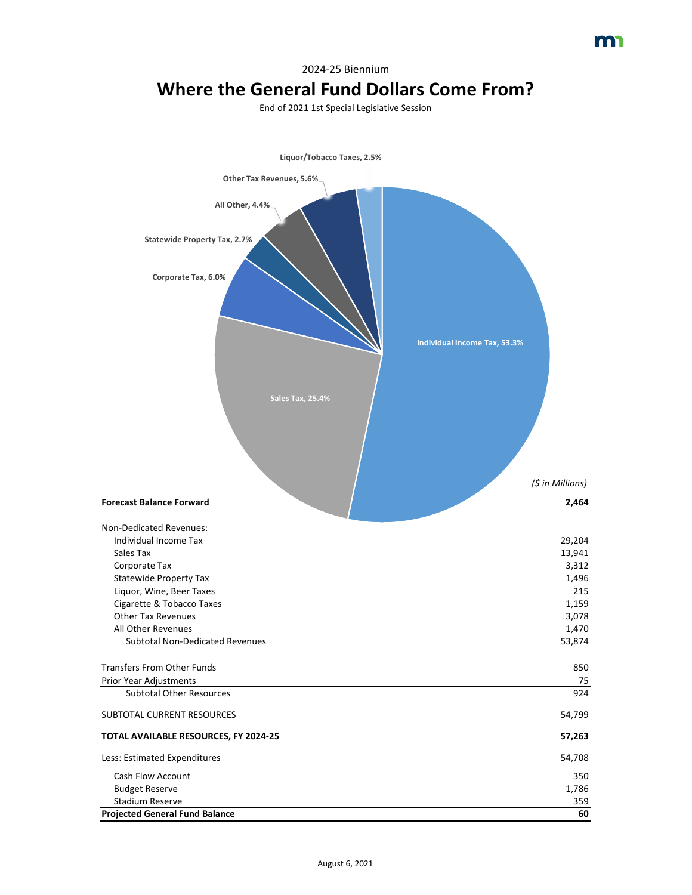2024-25 Biennium

# **Where the General Fund Dollars Come From?**